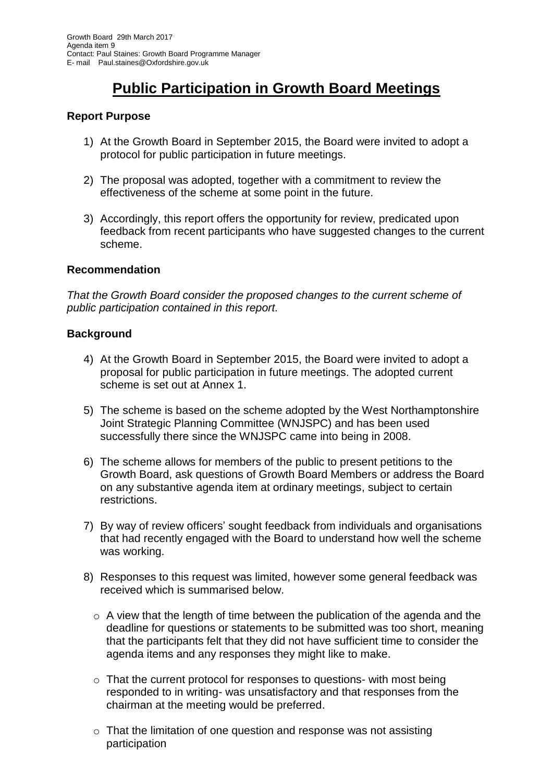# **Public Participation in Growth Board Meetings**

## **Report Purpose**

- 1) At the Growth Board in September 2015, the Board were invited to adopt a protocol for public participation in future meetings.
- 2) The proposal was adopted, together with a commitment to review the effectiveness of the scheme at some point in the future.
- 3) Accordingly, this report offers the opportunity for review, predicated upon feedback from recent participants who have suggested changes to the current scheme.

## **Recommendation**

*That the Growth Board consider the proposed changes to the current scheme of public participation contained in this report.*

#### **Background**

- 4) At the Growth Board in September 2015, the Board were invited to adopt a proposal for public participation in future meetings. The adopted current scheme is set out at Annex 1.
- 5) The scheme is based on the scheme adopted by the West Northamptonshire Joint Strategic Planning Committee (WNJSPC) and has been used successfully there since the WNJSPC came into being in 2008.
- 6) The scheme allows for members of the public to present petitions to the Growth Board, ask questions of Growth Board Members or address the Board on any substantive agenda item at ordinary meetings, subject to certain restrictions.
- 7) By way of review officers' sought feedback from individuals and organisations that had recently engaged with the Board to understand how well the scheme was working.
- 8) Responses to this request was limited, however some general feedback was received which is summarised below.
	- $\circ$  A view that the length of time between the publication of the agenda and the deadline for questions or statements to be submitted was too short, meaning that the participants felt that they did not have sufficient time to consider the agenda items and any responses they might like to make.
	- $\circ$  That the current protocol for responses to questions- with most being responded to in writing- was unsatisfactory and that responses from the chairman at the meeting would be preferred.
	- o That the limitation of one question and response was not assisting participation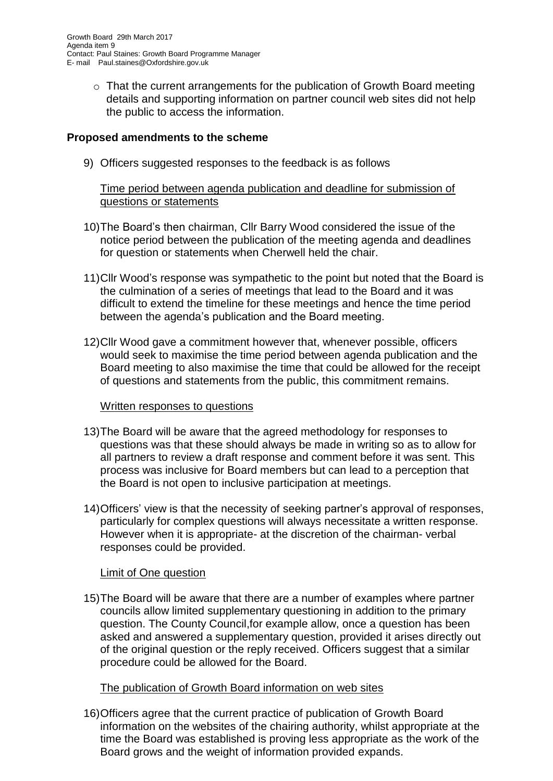o That the current arrangements for the publication of Growth Board meeting details and supporting information on partner council web sites did not help the public to access the information.

## **Proposed amendments to the scheme**

9) Officers suggested responses to the feedback is as follows

## Time period between agenda publication and deadline for submission of questions or statements

- 10)The Board's then chairman, Cllr Barry Wood considered the issue of the notice period between the publication of the meeting agenda and deadlines for question or statements when Cherwell held the chair.
- 11)Cllr Wood's response was sympathetic to the point but noted that the Board is the culmination of a series of meetings that lead to the Board and it was difficult to extend the timeline for these meetings and hence the time period between the agenda's publication and the Board meeting.
- 12)Cllr Wood gave a commitment however that, whenever possible, officers would seek to maximise the time period between agenda publication and the Board meeting to also maximise the time that could be allowed for the receipt of questions and statements from the public, this commitment remains.

#### Written responses to questions

- 13)The Board will be aware that the agreed methodology for responses to questions was that these should always be made in writing so as to allow for all partners to review a draft response and comment before it was sent. This process was inclusive for Board members but can lead to a perception that the Board is not open to inclusive participation at meetings.
- 14)Officers' view is that the necessity of seeking partner's approval of responses, particularly for complex questions will always necessitate a written response. However when it is appropriate- at the discretion of the chairman- verbal responses could be provided.

## Limit of One question

15)The Board will be aware that there are a number of examples where partner councils allow limited supplementary questioning in addition to the primary question. The County Council,for example allow, once a question has been asked and answered a supplementary question, provided it arises directly out of the original question or the reply received. Officers suggest that a similar procedure could be allowed for the Board.

#### The publication of Growth Board information on web sites

16)Officers agree that the current practice of publication of Growth Board information on the websites of the chairing authority, whilst appropriate at the time the Board was established is proving less appropriate as the work of the Board grows and the weight of information provided expands.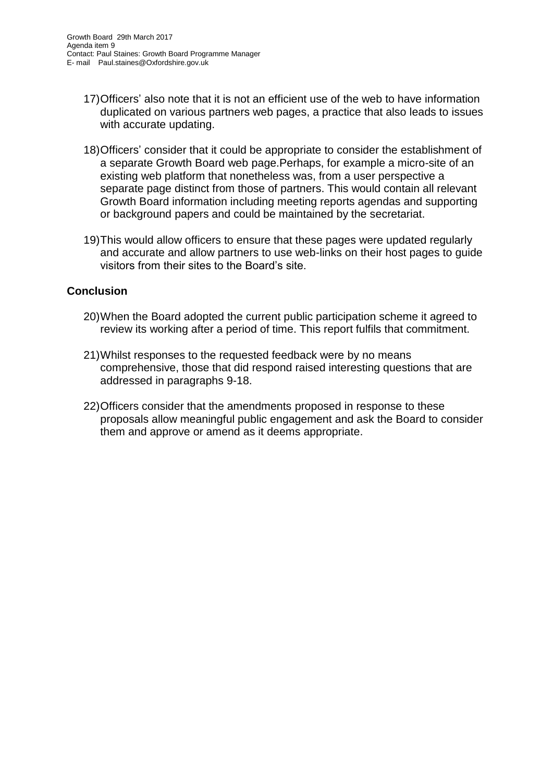- 17)Officers' also note that it is not an efficient use of the web to have information duplicated on various partners web pages, a practice that also leads to issues with accurate updating.
- 18)Officers' consider that it could be appropriate to consider the establishment of a separate Growth Board web page.Perhaps, for example a micro-site of an existing web platform that nonetheless was, from a user perspective a separate page distinct from those of partners. This would contain all relevant Growth Board information including meeting reports agendas and supporting or background papers and could be maintained by the secretariat.
- 19)This would allow officers to ensure that these pages were updated regularly and accurate and allow partners to use web-links on their host pages to guide visitors from their sites to the Board's site.

## **Conclusion**

- 20)When the Board adopted the current public participation scheme it agreed to review its working after a period of time. This report fulfils that commitment.
- 21)Whilst responses to the requested feedback were by no means comprehensive, those that did respond raised interesting questions that are addressed in paragraphs 9-18.
- 22)Officers consider that the amendments proposed in response to these proposals allow meaningful public engagement and ask the Board to consider them and approve or amend as it deems appropriate.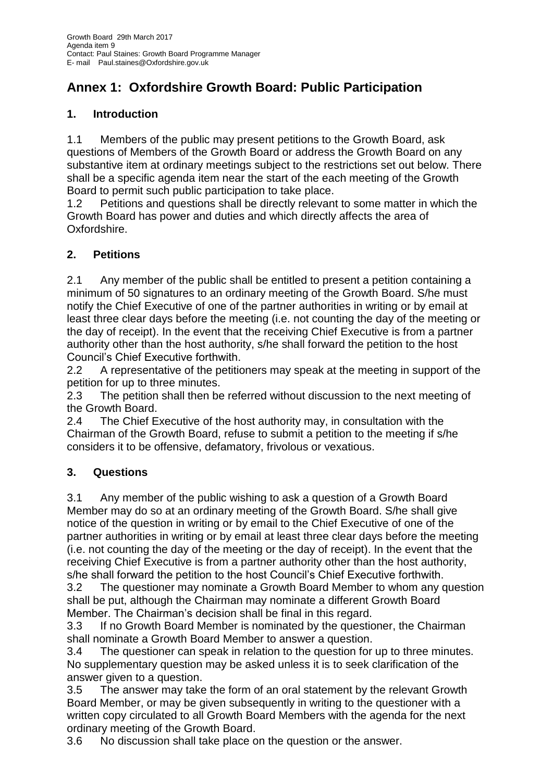# **Annex 1: Oxfordshire Growth Board: Public Participation**

# **1. Introduction**

1.1 Members of the public may present petitions to the Growth Board, ask questions of Members of the Growth Board or address the Growth Board on any substantive item at ordinary meetings subject to the restrictions set out below. There shall be a specific agenda item near the start of the each meeting of the Growth Board to permit such public participation to take place.

1.2 Petitions and questions shall be directly relevant to some matter in which the Growth Board has power and duties and which directly affects the area of Oxfordshire.

# **2. Petitions**

2.1 Any member of the public shall be entitled to present a petition containing a minimum of 50 signatures to an ordinary meeting of the Growth Board. S/he must notify the Chief Executive of one of the partner authorities in writing or by email at least three clear days before the meeting (i.e. not counting the day of the meeting or the day of receipt). In the event that the receiving Chief Executive is from a partner authority other than the host authority, s/he shall forward the petition to the host Council's Chief Executive forthwith.

2.2 A representative of the petitioners may speak at the meeting in support of the petition for up to three minutes.

2.3 The petition shall then be referred without discussion to the next meeting of the Growth Board.

2.4 The Chief Executive of the host authority may, in consultation with the Chairman of the Growth Board, refuse to submit a petition to the meeting if s/he considers it to be offensive, defamatory, frivolous or vexatious.

# **3. Questions**

3.1 Any member of the public wishing to ask a question of a Growth Board Member may do so at an ordinary meeting of the Growth Board. S/he shall give notice of the question in writing or by email to the Chief Executive of one of the partner authorities in writing or by email at least three clear days before the meeting (i.e. not counting the day of the meeting or the day of receipt). In the event that the receiving Chief Executive is from a partner authority other than the host authority, s/he shall forward the petition to the host Council's Chief Executive forthwith.

3.2 The questioner may nominate a Growth Board Member to whom any question shall be put, although the Chairman may nominate a different Growth Board Member. The Chairman's decision shall be final in this regard.

3.3 If no Growth Board Member is nominated by the questioner, the Chairman shall nominate a Growth Board Member to answer a question.

3.4 The questioner can speak in relation to the question for up to three minutes. No supplementary question may be asked unless it is to seek clarification of the answer given to a question.

3.5 The answer may take the form of an oral statement by the relevant Growth Board Member, or may be given subsequently in writing to the questioner with a written copy circulated to all Growth Board Members with the agenda for the next ordinary meeting of the Growth Board.

3.6 No discussion shall take place on the question or the answer.